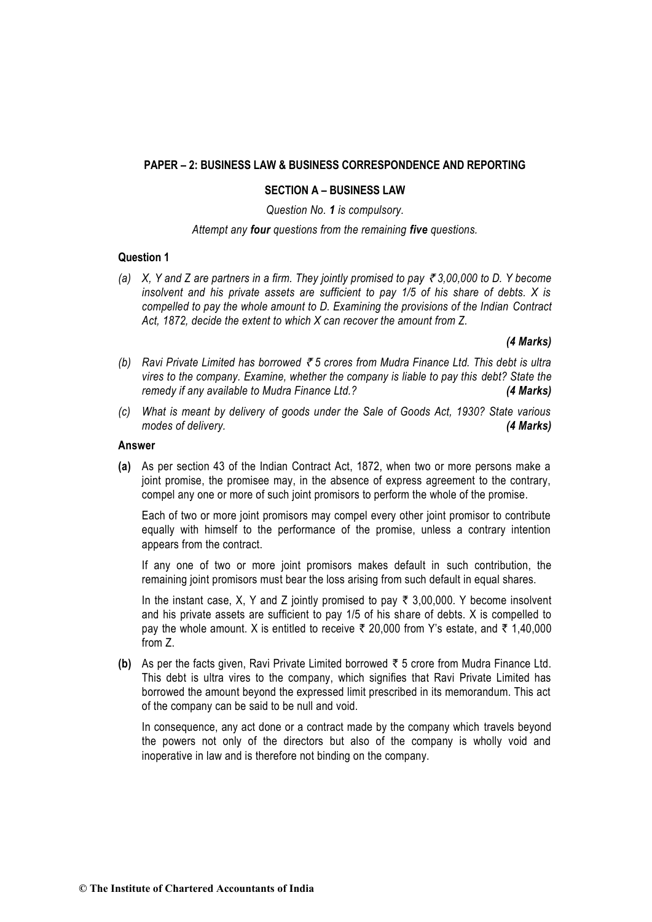# **PAPER – 2: BUSINESS LAW & BUSINESS CORRESPONDENCE AND REPORTING**

### **SECTION A – BUSINESS LAW**

*Question No. 1 is compulsory.*

### *Attempt any four questions from the remaining five questions.*

### **Question 1**

*(a) X, Y and Z are partners in a firm. They jointly promised to pay* ` *3,00,000 to D. Y become insolvent and his private assets are sufficient to pay 1/5 of his share of debts. X is compelled to pay the whole amount to D. Examining the provisions of the Indian Contract Act, 1872, decide the extent to which X can recover the amount from Z.*

# *(4 Marks)*

- *(b) Ravi Private Limited has borrowed* ` *5 crores from Mudra Finance Ltd. This debt is ultra vires to the company. Examine, whether the company is liable to pay this debt? State the remedy if any available to Mudra Finance Ltd.? (4 Marks)*
- *(c) What is meant by delivery of goods under the Sale of Goods Act, 1930? State various modes of delivery. (4 Marks)*

#### **Answer**

**(a)** As per section 43 of the Indian Contract Act, 1872, when two or more persons make a joint promise, the promisee may, in the absence of express agreement to the contrary, compel any one or more of such joint promisors to perform the whole of the promise.

Each of two or more joint promisors may compel every other joint promisor to contribute equally with himself to the performance of the promise, unless a contrary intention appears from the contract.

If any one of two or more joint promisors makes default in such contribution, the remaining joint promisors must bear the loss arising from such default in equal shares.

In the instant case, X, Y and Z jointly promised to pay  $\bar{\tau}$  3,00,000. Y become insolvent and his private assets are sufficient to pay 1/5 of his share of debts. X is compelled to pay the whole amount. X is entitled to receive  $\bar{\tau}$  20,000 from Y's estate, and  $\bar{\tau}$  1,40,000 from Z.

**(b)** As per the facts given, Ravi Private Limited borrowed ` 5 crore from Mudra Finance Ltd. This debt is ultra vires to the company, which signifies that Ravi Private Limited has borrowed the amount beyond the expressed limit prescribed in its memorandum. This act of the company can be said to be null and void.

In consequence, any act done or a contract made by the company which travels beyond the powers not only of the directors but also of the company is wholly void and inoperative in law and is therefore not binding on the company.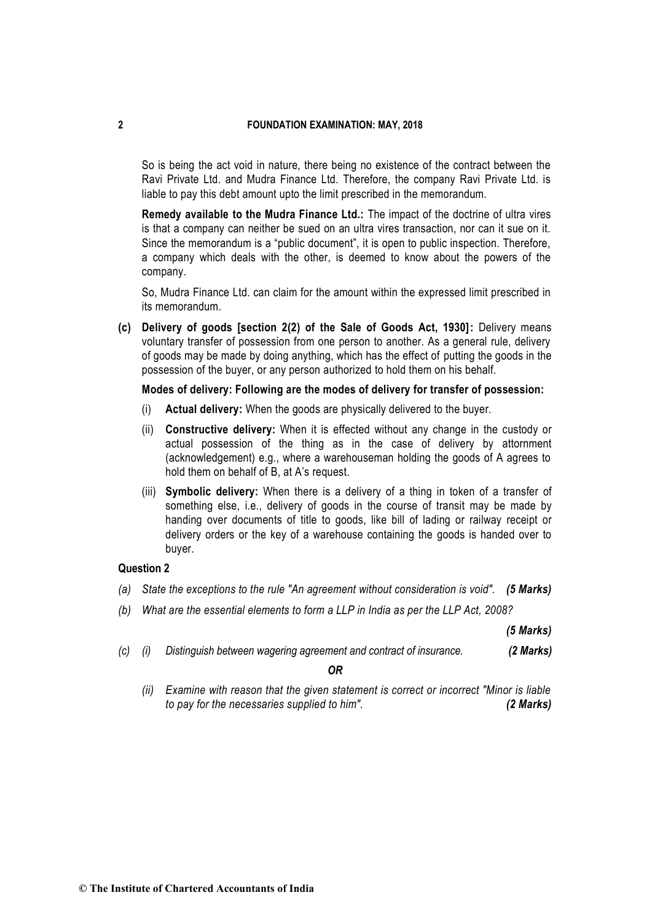So is being the act void in nature, there being no existence of the contract between the Ravi Private Ltd. and Mudra Finance Ltd. Therefore, the company Ravi Private Ltd. is liable to pay this debt amount upto the limit prescribed in the memorandum.

**Remedy available to the Mudra Finance Ltd.:** The impact of the doctrine of ultra vires is that a company can neither be sued on an ultra vires transaction, nor can it sue on it. Since the memorandum is a "public document", it is open to public inspection. Therefore, a company which deals with the other, is deemed to know about the powers of the company.

So, Mudra Finance Ltd. can claim for the amount within the expressed limit prescribed in its memorandum.

**(c) Delivery of goods [section 2(2) of the Sale of Goods Act, 1930]:** Delivery means voluntary transfer of possession from one person to another. As a general rule, delivery of goods may be made by doing anything, which has the effect of putting the goods in the possession of the buyer, or any person authorized to hold them on his behalf.

# **Modes of delivery: Following are the modes of delivery for transfer of possession:**

- (i) **Actual delivery:** When the goods are physically delivered to the buyer.
- (ii) **Constructive delivery:** When it is effected without any change in the custody or actual possession of the thing as in the case of delivery by attornment (acknowledgement) e.g., where a warehouseman holding the goods of A agrees to hold them on behalf of B, at A's request.
- (iii) **Symbolic delivery:** When there is a delivery of a thing in token of a transfer of something else, i.e., delivery of goods in the course of transit may be made by handing over documents of title to goods, like bill of lading or railway receipt or delivery orders or the key of a warehouse containing the goods is handed over to buyer.

# **Question 2**

- *(a) State the exceptions to the rule "An agreement without consideration is void". (5 Marks)*
- *(b) What are the essential elements to form a LLP in India as per the LLP Act, 2008?*

*(5 Marks)* 

*(c) (i) Distinguish between wagering agreement and contract of insurance. (2 Marks)*

*OR*

*(ii) Examine with reason that the given statement is correct or incorrect "Minor is liable to pay for the necessaries supplied to him". (2 Marks)*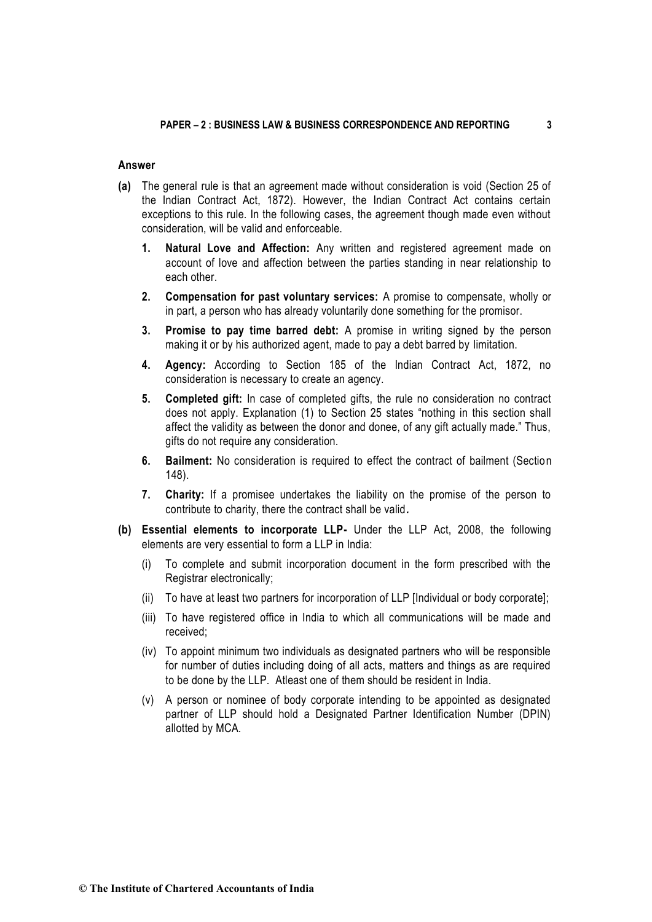### **Answer**

- **(a)** The general rule is that an agreement made without consideration is void (Section 25 of the Indian Contract Act, 1872). However, the Indian Contract Act contains certain exceptions to this rule. In the following cases, the agreement though made even without consideration, will be valid and enforceable.
	- **1. Natural Love and Affection:** Any written and registered agreement made on account of love and affection between the parties standing in near relationship to each other.
	- **2. Compensation for past voluntary services:** A promise to compensate, wholly or in part, a person who has already voluntarily done something for the promisor.
	- **3. Promise to pay time barred debt:** A promise in writing signed by the person making it or by his authorized agent, made to pay a debt barred by limitation.
	- **4. Agency:** According to Section 185 of the Indian Contract Act, 1872, no consideration is necessary to create an agency.
	- **5. Completed gift:** In case of completed gifts, the rule no consideration no contract does not apply. Explanation (1) to Section 25 states "nothing in this section shall affect the validity as between the donor and donee, of any gift actually made." Thus, gifts do not require any consideration.
	- **6. Bailment:** No consideration is required to effect the contract of bailment (Section 148).
	- **7. Charity:** If a promisee undertakes the liability on the promise of the person to contribute to charity, there the contract shall be valid*.*
- **(b) Essential elements to incorporate LLP-** Under the LLP Act, 2008, the following elements are very essential to form a LLP in India:
	- (i) To complete and submit incorporation document in the form prescribed with the Registrar electronically;
	- (ii) To have at least two partners for incorporation of LLP [Individual or body corporate];
	- (iii) To have registered office in India to which all communications will be made and received;
	- (iv) To appoint minimum two individuals as designated partners who will be responsible for number of duties including doing of all acts, matters and things as are required to be done by the LLP. Atleast one of them should be resident in India.
	- (v) A person or nominee of body corporate intending to be appointed as designated partner of LLP should hold a Designated Partner Identification Number (DPIN) allotted by MCA.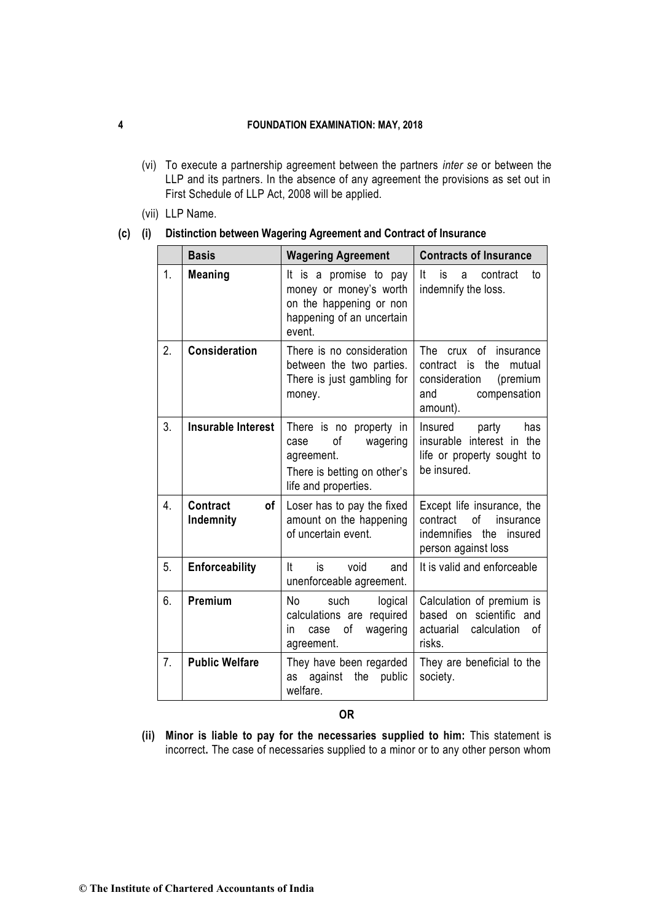- (vi) To execute a partnership agreement between the partners *inter se* or between the LLP and its partners. In the absence of any agreement the provisions as set out in First Schedule of LLP Act, 2008 will be applied.
- (vii) LLP Name.

### **(c) (i) Distinction between Wagering Agreement and Contract of Insurance**

|    | <b>Basis</b>                       | <b>Wagering Agreement</b>                                                                                              | <b>Contracts of Insurance</b>                                                                                            |
|----|------------------------------------|------------------------------------------------------------------------------------------------------------------------|--------------------------------------------------------------------------------------------------------------------------|
| 1. | <b>Meaning</b>                     | It is a promise to pay<br>money or money's worth<br>on the happening or non<br>happening of an uncertain<br>event.     | It.<br>is<br>contract<br>a<br>to<br>indemnify the loss.                                                                  |
| 2. | <b>Consideration</b>               | There is no consideration<br>between the two parties.<br>There is just gambling for<br>money.                          | The crux<br>of insurance<br>the<br>contract is<br>mutual<br>consideration<br>(premium<br>compensation<br>and<br>amount). |
| 3. | <b>Insurable Interest</b>          | There is no property in<br>οf<br>wagering<br>case<br>agreement.<br>There is betting on other's<br>life and properties. | Insured<br>party<br>has<br>insurable interest in the<br>life or property sought to<br>be insured.                        |
| 4. | <b>Contract</b><br>0f<br>Indemnity | Loser has to pay the fixed<br>amount on the happening<br>of uncertain event.                                           | Except life insurance, the<br>contract<br>οf<br>insurance<br>indemnifies the<br>insured<br>person against loss           |
| 5. | Enforceability                     | It<br>is<br>void<br>and<br>unenforceable agreement.                                                                    | It is valid and enforceable                                                                                              |
| 6. | Premium                            | No<br>such<br>logical<br>calculations are required<br>οf<br>wagering<br>in<br>case<br>agreement.                       | Calculation of premium is<br>based on scientific and<br>calculation<br>actuarial<br>οf<br>risks.                         |
| 7. | <b>Public Welfare</b>              | They have been regarded<br>as against<br>the public<br>welfare.                                                        | They are beneficial to the<br>society.                                                                                   |

# **OR**

**(ii) Minor is liable to pay for the necessaries supplied to him:** This statement is incorrect**.** The case of necessaries supplied to a minor or to any other person whom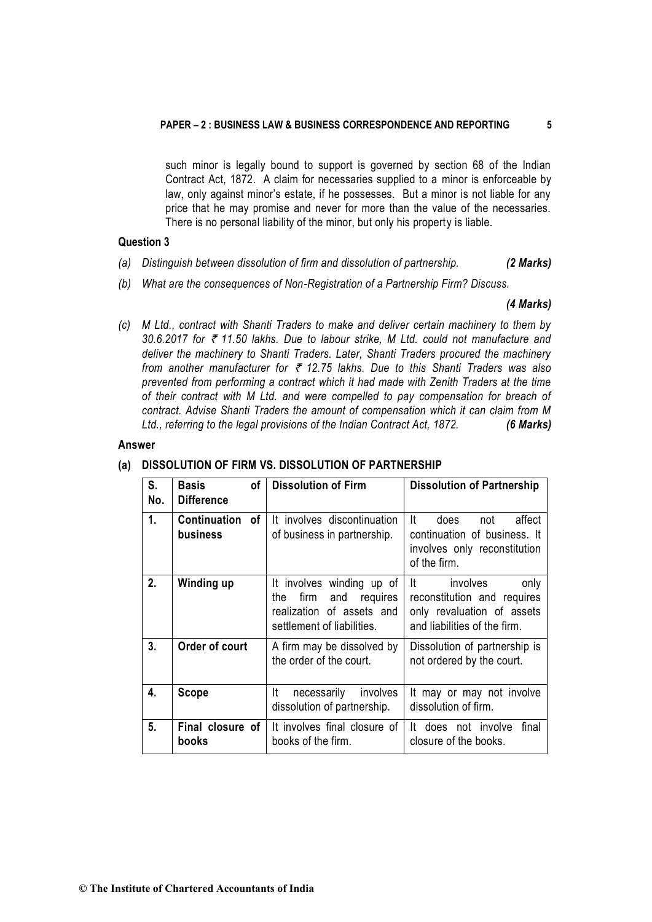such minor is legally bound to support is governed by section 68 of the Indian Contract Act, 1872. A claim for necessaries supplied to a minor is enforceable by law, only against minor's estate, if he possesses. But a minor is not liable for any price that he may promise and never for more than the value of the necessaries. There is no personal liability of the minor, but only his property is liable.

### **Question 3**

- *(a) Distinguish between dissolution of firm and dissolution of partnership. (2 Marks)*
- *(b) What are the consequences of Non-Registration of a Partnership Firm? Discuss.*

#### *(4 Marks)*

*(c) M Ltd., contract with Shanti Traders to make and deliver certain machinery to them by 30.6.2017 for* ` *11.50 lakhs. Due to labour strike, M Ltd. could not manufacture and deliver the machinery to Shanti Traders. Later, Shanti Traders procured the machinery from another manufacturer for* ` *12.75 lakhs. Due to this Shanti Traders was also prevented from performing a contract which it had made with Zenith Traders at the time of their contract with M Ltd. and were compelled to pay compensation for breach of contract. Advise Shanti Traders the amount of compensation which it can claim from M Ltd., referring to the legal provisions of the Indian Contract Act, 1872. (6 Marks)* 

#### **Answer**

#### **(a) DISSOLUTION OF FIRM VS. DISSOLUTION OF PARTNERSHIP**

| S.<br>No. | <b>of</b><br>Basis<br><b>Difference</b> | <b>Dissolution of Firm</b>                                                                                             | <b>Dissolution of Partnership</b>                                                                                     |
|-----------|-----------------------------------------|------------------------------------------------------------------------------------------------------------------------|-----------------------------------------------------------------------------------------------------------------------|
| 1.        | Continuation of<br>business             | It involves discontinuation<br>of business in partnership.                                                             | It<br>affect<br>does.<br>not<br>continuation of business. It<br>involves only reconstitution<br>of the firm.          |
| 2.        | Winding up                              | It involves winding up of<br>firm<br>and<br>requires<br>the<br>realization of assets and<br>settlement of liabilities. | lt –<br>involves<br>only<br>reconstitution and requires<br>only revaluation of assets<br>and liabilities of the firm. |
| 3.        | Order of court                          | A firm may be dissolved by<br>the order of the court.                                                                  | Dissolution of partnership is<br>not ordered by the court.                                                            |
| 4.        | Scope                                   | lt.<br>necessarily<br>involves<br>dissolution of partnership.                                                          | It may or may not involve<br>dissolution of firm.                                                                     |
| 5.        | Final closure of<br>books               | It involves final closure of<br>books of the firm.                                                                     | It does not involve<br>final<br>closure of the books.                                                                 |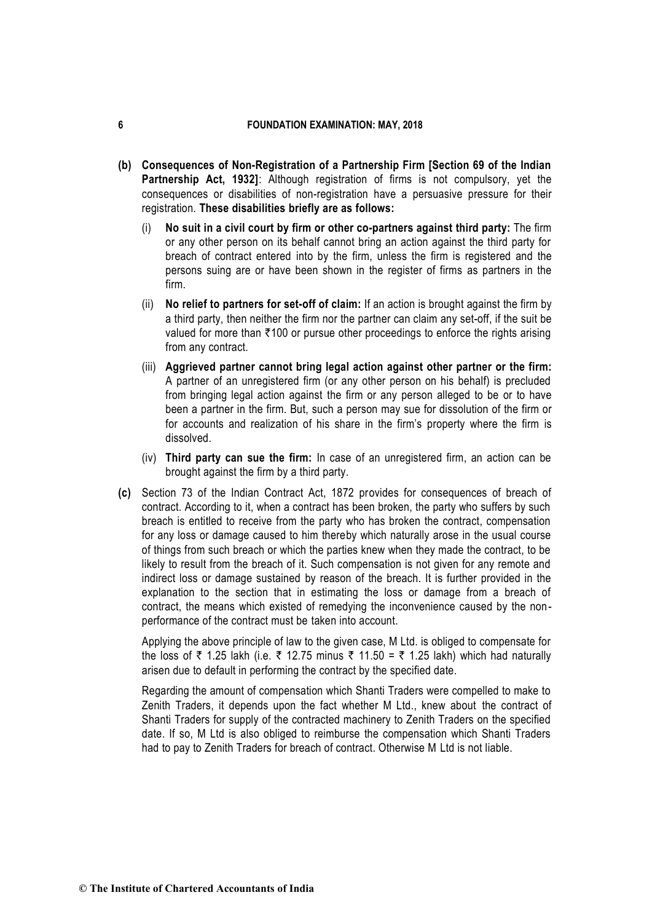- **(b) Consequences of Non-Registration of a Partnership Firm [Section 69 of the Indian Partnership Act, 1932]**: Although registration of firms is not compulsory, yet the consequences or disabilities of non-registration have a persuasive pressure for their registration. **These disabilities briefly are as follows:**
	- (i) **No suit in a civil court by firm or other co-partners against third party:** The firm or any other person on its behalf cannot bring an action against the third party for breach of contract entered into by the firm, unless the firm is registered and the persons suing are or have been shown in the register of firms as partners in the firm.
	- (ii) **No relief to partners for set-off of claim:** If an action is brought against the firm by a third party, then neither the firm nor the partner can claim any set-off, if the suit be valued for more than  $\overline{\tau}$ 100 or pursue other proceedings to enforce the rights arising from any contract.
	- (iii) **Aggrieved partner cannot bring legal action against other partner or the firm:** A partner of an unregistered firm (or any other person on his behalf) is precluded from bringing legal action against the firm or any person alleged to be or to have been a partner in the firm. But, such a person may sue for dissolution of the firm or for accounts and realization of his share in the firm's property where the firm is dissolved.
	- (iv) **Third party can sue the firm:** In case of an unregistered firm, an action can be brought against the firm by a third party.
- **(c)** Section 73 of the Indian Contract Act, 1872 provides for consequences of breach of contract. According to it, when a contract has been broken, the party who suffers by such breach is entitled to receive from the party who has broken the contract, compensation for any loss or damage caused to him thereby which naturally arose in the usual course of things from such breach or which the parties knew when they made the contract, to be likely to result from the breach of it. Such compensation is not given for any remote and indirect loss or damage sustained by reason of the breach. It is further provided in the explanation to the section that in estimating the loss or damage from a breach of contract, the means which existed of remedying the inconvenience caused by the non performance of the contract must be taken into account.

Applying the above principle of law to the given case, M Ltd. is obliged to compensate for the loss of  $\bar{\tau}$  1.25 lakh (i.e.  $\bar{\tau}$  12.75 minus  $\bar{\tau}$  11.50 =  $\bar{\tau}$  1.25 lakh) which had naturally arisen due to default in performing the contract by the specified date.

Regarding the amount of compensation which Shanti Traders were compelled to make to Zenith Traders, it depends upon the fact whether M Ltd., knew about the contract of Shanti Traders for supply of the contracted machinery to Zenith Traders on the specified date. If so, M Ltd is also obliged to reimburse the compensation which Shanti Traders had to pay to Zenith Traders for breach of contract. Otherwise M Ltd is not liable.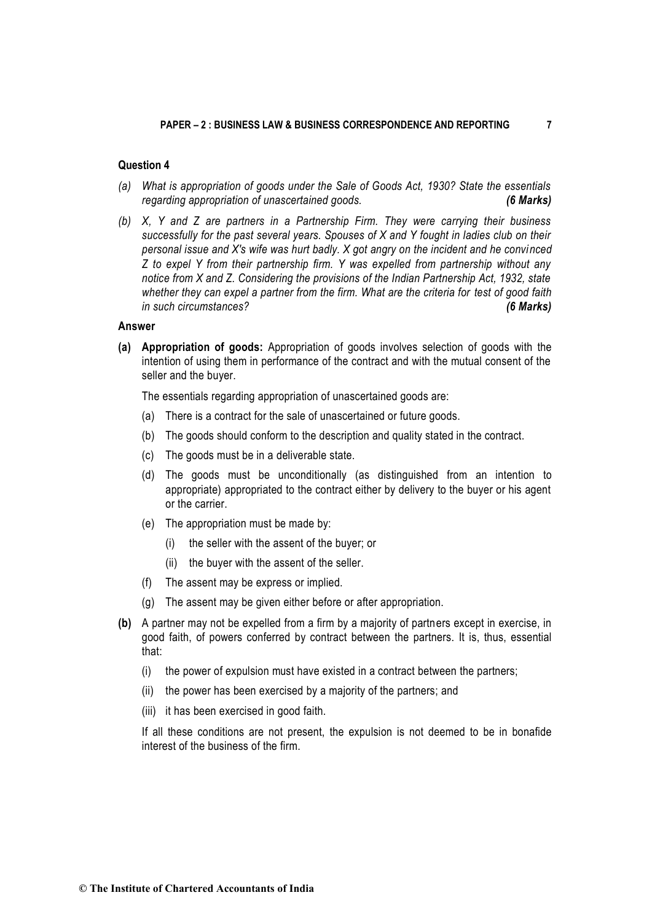# **Question 4**

- *(a) What is appropriation of goods under the Sale of Goods Act, 1930? State the essentials regarding appropriation of unascertained goods. (6 Marks)*
- *(b) X, Y and Z are partners in a Partnership Firm. They were carrying their business successfully for the past several years. Spouses of X and Y fought in ladies club on their personal issue and X's wife was hurt badly. X got angry on the incident and he convinced Z to expel Y from their partnership firm. Y was expelled from partnership without any notice from X and Z. Considering the provisions of the Indian Partnership Act, 1932, state whether they can expel a partner from the firm. What are the criteria for test of good faith in such circumstances? (6 Marks)*

#### **Answer**

**(a) Appropriation of goods:** Appropriation of goods involves selection of goods with the intention of using them in performance of the contract and with the mutual consent of the seller and the buyer.

The essentials regarding appropriation of unascertained goods are:

- (a) There is a contract for the sale of unascertained or future goods.
- (b) The goods should conform to the description and quality stated in the contract.
- (c) The goods must be in a deliverable state.
- (d) The goods must be unconditionally (as distinguished from an intention to appropriate) appropriated to the contract either by delivery to the buyer or his agent or the carrier.
- (e) The appropriation must be made by:
	- (i) the seller with the assent of the buyer; or
	- (ii) the buyer with the assent of the seller.
- (f) The assent may be express or implied.
- (g) The assent may be given either before or after appropriation.
- **(b)** A partner may not be expelled from a firm by a majority of partners except in exercise, in good faith, of powers conferred by contract between the partners. It is, thus, essential that:
	- (i) the power of expulsion must have existed in a contract between the partners;
	- (ii) the power has been exercised by a majority of the partners; and
	- (iii) it has been exercised in good faith.

If all these conditions are not present, the expulsion is not deemed to be in bonafide interest of the business of the firm.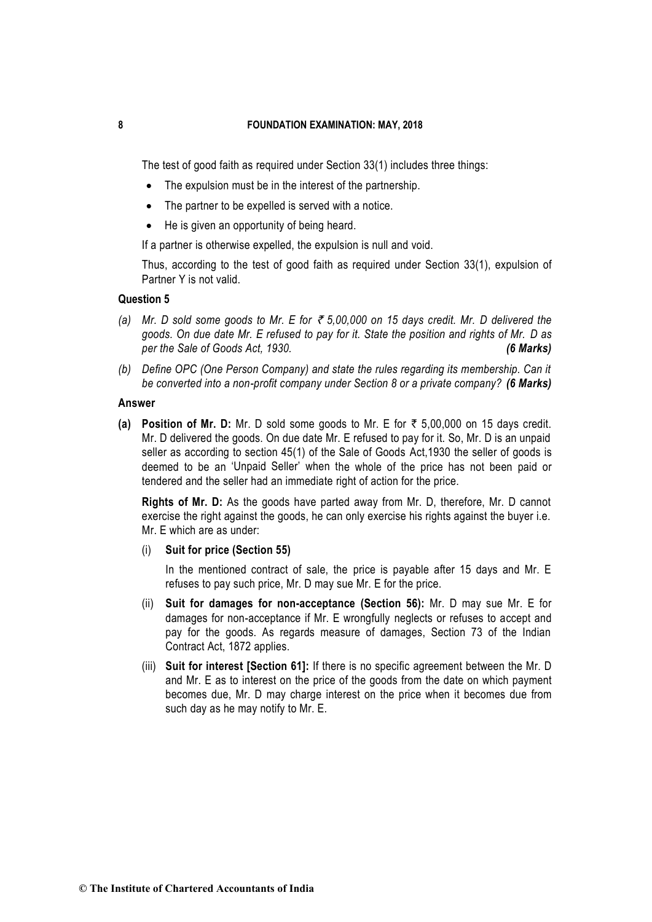The test of good faith as required under Section 33(1) includes three things:

- The expulsion must be in the interest of the partnership.
- The partner to be expelled is served with a notice.
- He is given an opportunity of being heard.

If a partner is otherwise expelled, the expulsion is null and void.

Thus, according to the test of good faith as required under Section 33(1), expulsion of Partner Y is not valid.

# **Question 5**

- *(a) Mr. D sold some goods to Mr. E for* ` *5,00,000 on 15 days credit. Mr. D delivered the goods. On due date Mr. E refused to pay for it. State the position and rights of Mr. D as per the Sale of Goods Act, 1930. (6 Marks)*
- *(b) Define OPC (One Person Company) and state the rules regarding its membership. Can it be converted into a non-profit company under Section 8 or a private company? (6 Marks)*

# **Answer**

**(a) Position of Mr. D:** Mr. D sold some goods to Mr. E for  $\overline{\tau}$  5,00,000 on 15 days credit. Mr. D delivered the goods. On due date Mr. E refused to pay for it. So, Mr. D is an unpaid seller as according to section 45(1) of the Sale of Goods Act,1930 the seller of goods is deemed to be an 'Unpaid Seller' when the whole of the price has not been paid or tendered and the seller had an immediate right of action for the price.

**Rights of Mr. D:** As the goods have parted away from Mr. D, therefore, Mr. D cannot exercise the right against the goods, he can only exercise his rights against the buyer i.e. Mr. E which are as under:

(i) **Suit for price (Section 55)**

In the mentioned contract of sale, the price is payable after 15 days and Mr. E refuses to pay such price, Mr. D may sue Mr. E for the price.

- (ii) **Suit for damages for non-acceptance (Section 56):** Mr. D may sue Mr. E for damages for non-acceptance if Mr. E wrongfully neglects or refuses to accept and pay for the goods. As regards measure of damages, Section 73 of the Indian Contract Act, 1872 applies.
- (iii) **Suit for interest [Section 61]:** If there is no specific agreement between the Mr. D and Mr. E as to interest on the price of the goods from the date on which payment becomes due, Mr. D may charge interest on the price when it becomes due from such day as he may notify to Mr. E.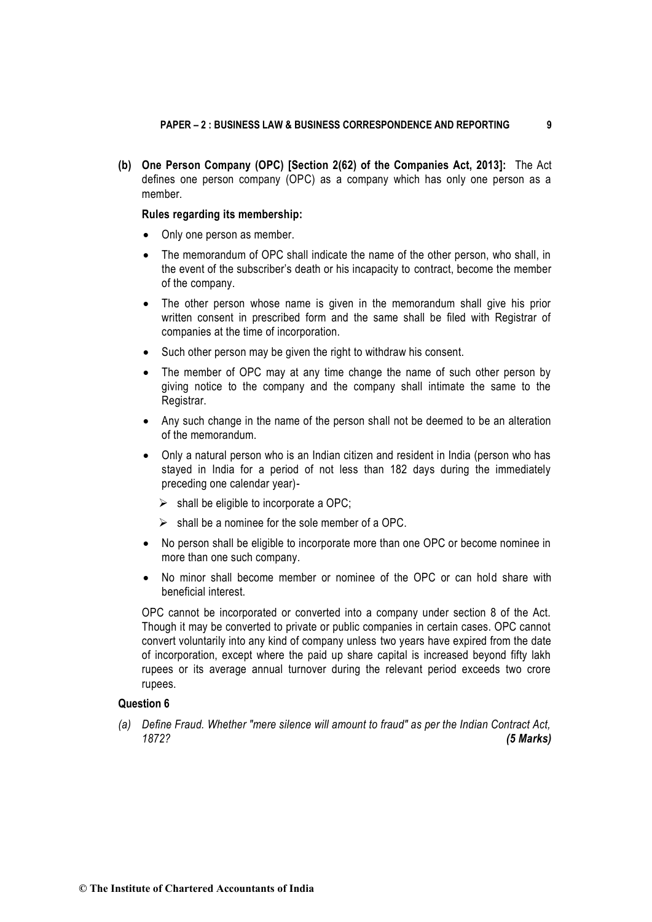**(b) One Person Company (OPC) [Section 2(62) of the Companies Act, 2013]:** The Act defines one person company (OPC) as a company which has only one person as a member.

### **Rules regarding its membership:**

- Only one person as member.
- The memorandum of OPC shall indicate the name of the other person, who shall, in the event of the subscriber's death or his incapacity to contract, become the member of the company.
- The other person whose name is given in the memorandum shall give his prior written consent in prescribed form and the same shall be filed with Registrar of companies at the time of incorporation.
- Such other person may be given the right to withdraw his consent.
- The member of OPC may at any time change the name of such other person by giving notice to the company and the company shall intimate the same to the Registrar.
- Any such change in the name of the person shall not be deemed to be an alteration of the memorandum.
- Only a natural person who is an Indian citizen and resident in India (person who has stayed in India for a period of not less than 182 days during the immediately preceding one calendar year)-
	- $\triangleright$  shall be eligible to incorporate a OPC;
	- $\triangleright$  shall be a nominee for the sole member of a OPC.
- No person shall be eligible to incorporate more than one OPC or become nominee in more than one such company.
- No minor shall become member or nominee of the OPC or can hold share with beneficial interest.

OPC cannot be incorporated or converted into a company under section 8 of the Act. Though it may be converted to private or public companies in certain cases. OPC cannot convert voluntarily into any kind of company unless two years have expired from the date of incorporation, except where the paid up share capital is increased beyond fifty lakh rupees or its average annual turnover during the relevant period exceeds two crore rupees.

#### **Question 6**

*(a) Define Fraud. Whether "mere silence will amount to fraud" as per the Indian Contract Act, 1872? (5 Marks)* 

**© The Institute of Chartered Accountants of India**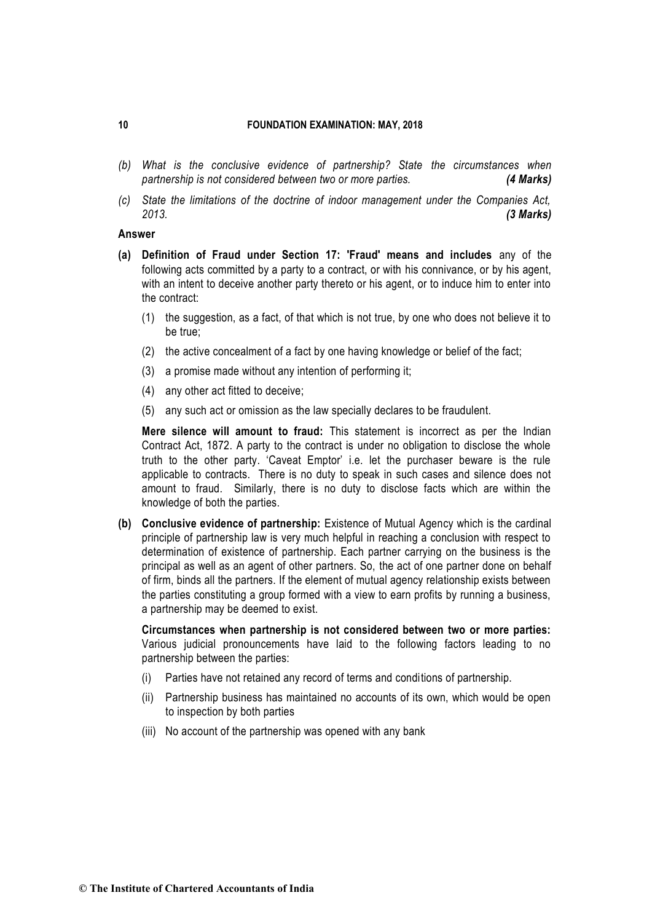- *(b) What is the conclusive evidence of partnership? State the circumstances when partnership is not considered between two or more parties. (4 Marks)*
- *(c) State the limitations of the doctrine of indoor management under the Companies Act, 2013. (3 Marks)*

### **Answer**

- **(a) Definition of Fraud under Section 17: 'Fraud' means and includes** any of the following acts committed by a party to a contract, or with his connivance, or by his agent, with an intent to deceive another party thereto or his agent, or to induce him to enter into the contract:
	- (1) the suggestion, as a fact, of that which is not true, by one who does not believe it to be true;
	- (2) the active concealment of a fact by one having knowledge or belief of the fact;
	- (3) a promise made without any intention of performing it;
	- (4) any other act fitted to deceive;
	- (5) any such act or omission as the law specially declares to be fraudulent.

**Mere silence will amount to fraud:** This statement is incorrect as per the Indian Contract Act, 1872. A party to the contract is under no obligation to disclose the whole truth to the other party. 'Caveat Emptor' i.e. let the purchaser beware is the rule applicable to contracts. There is no duty to speak in such cases and silence does not amount to fraud. Similarly, there is no duty to disclose facts which are within the knowledge of both the parties.

**(b) Conclusive evidence of partnership:** Existence of Mutual Agency which is the cardinal principle of partnership law is very much helpful in reaching a conclusion with respect to determination of existence of partnership. Each partner carrying on the business is the principal as well as an agent of other partners. So, the act of one partner done on behalf of firm, binds all the partners. If the element of mutual agency relationship exists between the parties constituting a group formed with a view to earn profits by running a business, a partnership may be deemed to exist.

**Circumstances when partnership is not considered between two or more parties:**  Various judicial pronouncements have laid to the following factors leading to no partnership between the parties:

- (i) Parties have not retained any record of terms and conditions of partnership.
- (ii) Partnership business has maintained no accounts of its own, which would be open to inspection by both parties
- (iii) No account of the partnership was opened with any bank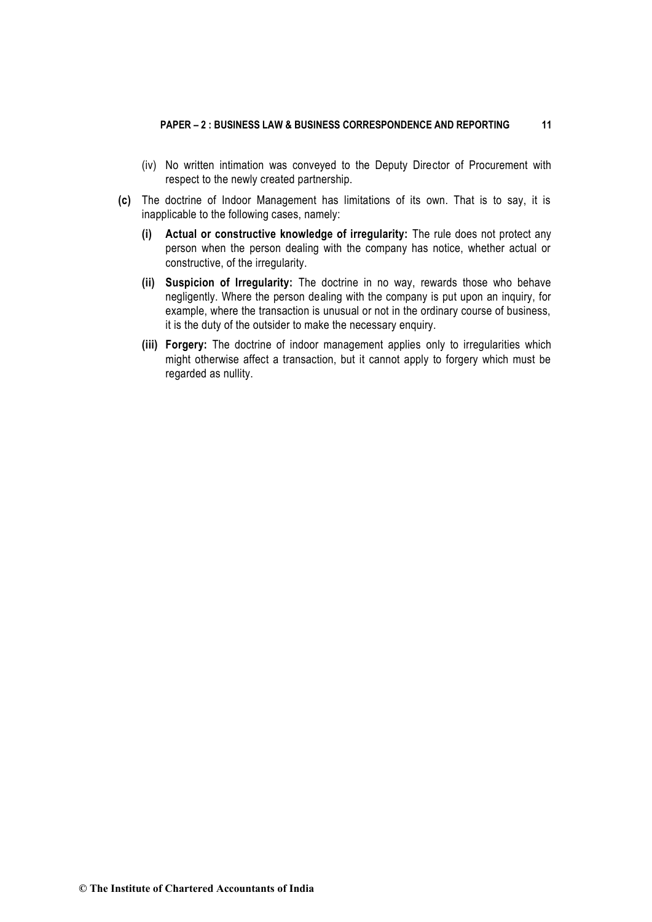- (iv) No written intimation was conveyed to the Deputy Director of Procurement with respect to the newly created partnership.
- **(c)** The doctrine of Indoor Management has limitations of its own. That is to say, it is inapplicable to the following cases, namely:
	- **(i) Actual or constructive knowledge of irregularity:** The rule does not protect any person when the person dealing with the company has notice, whether actual or constructive, of the irregularity.
	- **(ii) Suspicion of Irregularity:** The doctrine in no way, rewards those who behave negligently. Where the person dealing with the company is put upon an inquiry, for example, where the transaction is unusual or not in the ordinary course of business, it is the duty of the outsider to make the necessary enquiry.
	- **(iii) Forgery:** The doctrine of indoor management applies only to irregularities which might otherwise affect a transaction, but it cannot apply to forgery which must be regarded as nullity.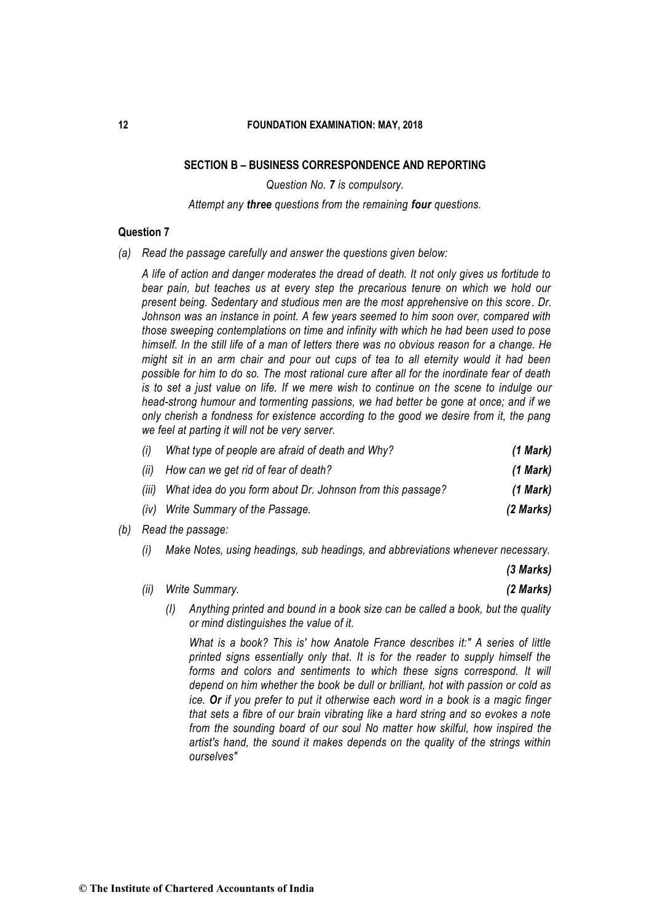# **SECTION B – BUSINESS CORRESPONDENCE AND REPORTING**

*Question No. 7 is compulsory.*

#### *Attempt any three questions from the remaining four questions.*

### **Question 7**

*(a) Read the passage carefully and answer the questions given below:* 

*A life of action and danger moderates the dread of death. It not only gives us fortitude to bear pain, but teaches us at every step the precarious tenure on which we hold our present being. Sedentary and studious men are the most apprehensive on this score. Dr. Johnson was an instance in point. A few years seemed to him soon over, compared with those sweeping contemplations on time and infinity with which he had been used to pose himself. In the still life of a man of Ietters there was no obvious reason for a change. He might sit in an arm chair and pour out cups of tea to all eternity would it had been possible for him to do so. The most rational cure after all for the inordinate fear of death is to set a just value on life. If we mere wish to continue on the scene to indulge our head-strong humour and tormenting passions, we had better be gone at once; and if we only cherish a fondness for existence according to the good we desire from it, the pang we feel at parting it will not be very server.* 

| (i) | What type of people are afraid of death and Why?                 | $(1$ Mark) |
|-----|------------------------------------------------------------------|------------|
|     | (ii) How can we get rid of fear of death?                        | (1 Mark)   |
|     | (iii) What idea do you form about Dr. Johnson from this passage? | $(1$ Mark) |
|     | (iv) Write Summary of the Passage.                               | (2 Marks)  |

- *(b) Read the passage:* 
	- *(i) Make Notes, using headings, sub headings, and abbreviations whenever necessary.*

*(3 Marks)*

|  | (ii) Write Summary. | (2 Marks) |
|--|---------------------|-----------|
|--|---------------------|-----------|

*(I) Anything printed and bound in a book size can be called a book, but the quality or mind distinguishes the value of it.*

*What is a book? This is' how Anatole France describes it:" A series of little printed signs essentially only that. It is for the reader to supply himself the*  forms and colors and sentiments to which these signs correspond. It will *depend on him whether the book be dull or brilliant, hot with passion or cold as ice. Or if you prefer to put it otherwise each word in a book is a magic finger that sets a fibre of our brain vibrating like a hard string and so evokes a note from the sounding board of our soul No matter how skilful, how inspired the artist's hand, the sound it makes depends on the quality of the strings within ourselves"*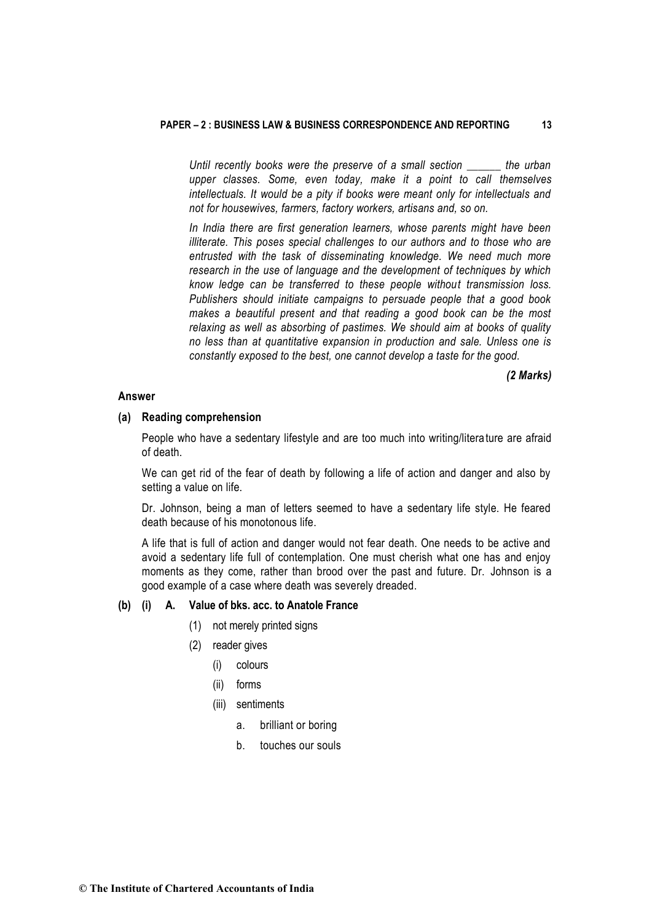#### **PAPER – 2 : BUSINESS LAW & BUSINESS CORRESPONDENCE AND REPORTING 13**

*Until recently books were the preserve of a small section \_\_\_\_\_\_ the urban upper classes. Some, even today, make it a point to call themselves intellectuals. It would be a pity if books were meant only for intellectuals and not for housewives, farmers, factory workers, artisans and, so on.* 

*In India there are first generation learners, whose parents might have been illiterate. This poses special challenges to our authors and to those who are entrusted with the task of disseminating knowledge. We need much more research in the use of language and the development of techniques by which know ledge can be transferred to these people without transmission loss. Publishers should initiate campaigns to persuade people that a good book makes a beautiful present and that reading a good book can be the most relaxing as well as absorbing of pastimes. We should aim at books of quality no less than at quantitative expansion in production and sale. Unless one is constantly exposed to the best, one cannot develop a taste for the good.* 

#### *(2 Marks)*

### **Answer**

#### **(a) Reading comprehension**

People who have a sedentary lifestyle and are too much into writing/literature are afraid of death.

We can get rid of the fear of death by following a life of action and danger and also by setting a value on life.

Dr. Johnson, being a man of letters seemed to have a sedentary life style. He feared death because of his monotonous life.

A life that is full of action and danger would not fear death. One needs to be active and avoid a sedentary life full of contemplation. One must cherish what one has and enjoy moments as they come, rather than brood over the past and future. Dr. Johnson is a good example of a case where death was severely dreaded.

# **(b) (i) A. Value of bks. acc. to Anatole France**

- (1) not merely printed signs
- (2) reader gives
	- (i) colours
	- (ii) forms
	- (iii) sentiments
		- a. brilliant or boring
		- b. touches our souls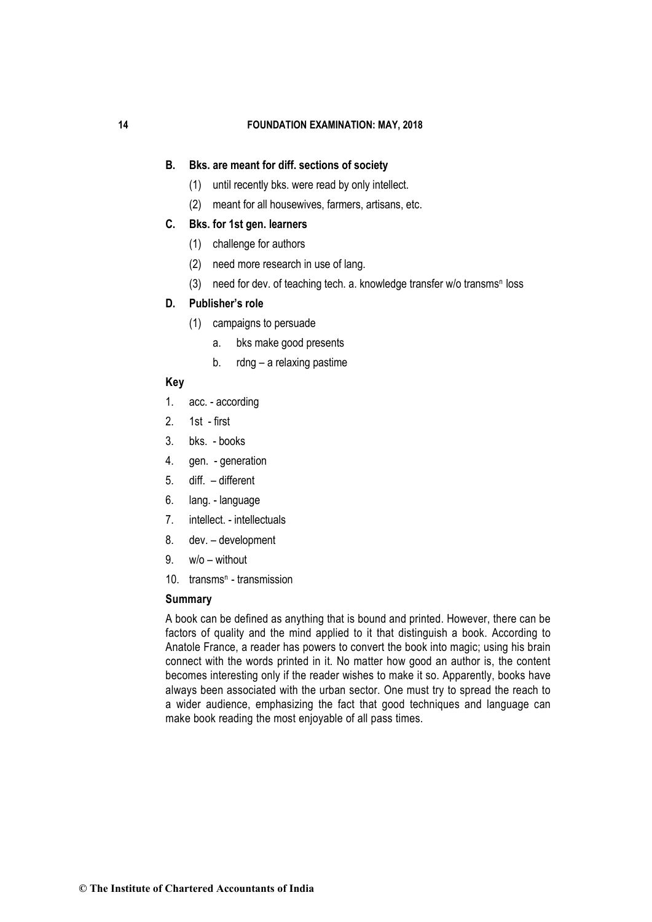### **B. Bks. are meant for diff. sections of society**

- (1) until recently bks. were read by only intellect.
- (2) meant for all housewives, farmers, artisans, etc.

### **C. Bks. for 1st gen. learners**

- (1) challenge for authors
- (2) need more research in use of lang.
- (3) need for dev. of teaching tech. a. knowledge transfer w/o transms<sup>n</sup> loss

# **D. Publisher's role**

- (1) campaigns to persuade
	- a. bks make good presents
	- b. rdng a relaxing pastime

# **Key**

- 1. acc. according
- 2. 1st first
- 3. bks. books
- 4. gen. generation
- 5. diff. different
- 6. lang. language
- 7. intellect. intellectuals
- 8. dev. development
- $9. \quad w/o without$
- 10. transms<sup>n</sup> transmission

### **Summary**

A book can be defined as anything that is bound and printed. However, there can be factors of quality and the mind applied to it that distinguish a book. According to Anatole France, a reader has powers to convert the book into magic; using his brain connect with the words printed in it. No matter how good an author is, the content becomes interesting only if the reader wishes to make it so. Apparently, books have always been associated with the urban sector. One must try to spread the reach to a wider audience, emphasizing the fact that good techniques and language can make book reading the most enjoyable of all pass times.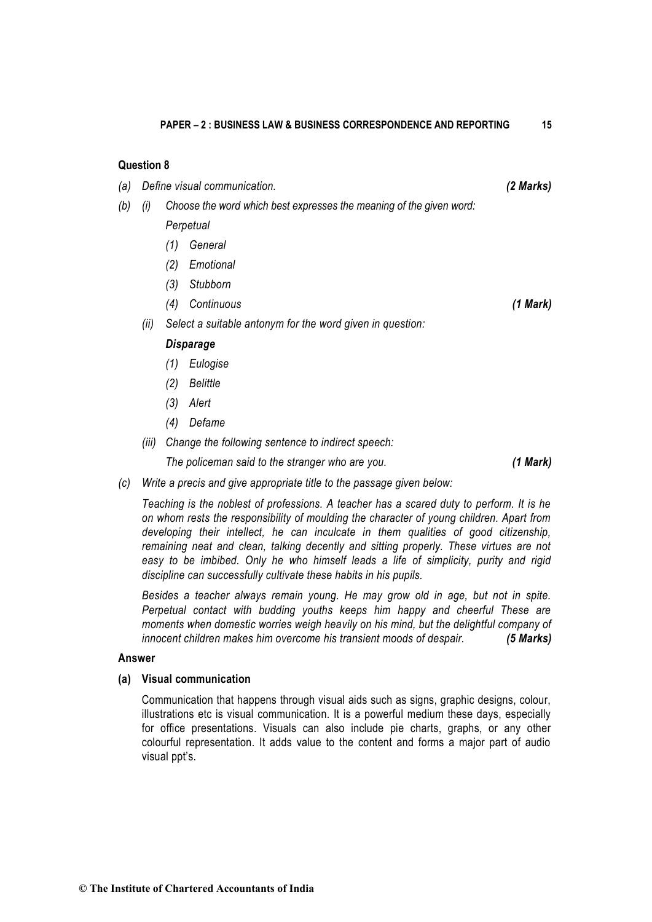# **Question 8**

- *(a) Define visual communication. (2 Marks)*
- *(b) (i) Choose the word which best expresses the meaning of the given word: Perpetual* 
	- *(1) General*
	- *(2) Emotional*
	- *(3) Stubborn*
	- *(4) Continuous (1 Mark)*
	- *(ii) Select a suitable antonym for the word given in question:*

### *Disparage*

- *(1) Eulogise*
- *(2) Belittle*
- *(3) Alert*
- *(4) Defame*
- *(iii) Change the following sentence to indirect speech:*

*The policeman said to the stranger who are you. (1 Mark)*

*(c) Write a precis and give appropriate title to the passage given below:* 

*Teaching is the noblest of professions. A teacher has a scared duty to perform. It is he on whom rests the responsibility of moulding the character of young children. Apart from developing their intellect, he can inculcate in them qualities of good citizenship, remaining neat and clean, talking decently and sitting properly. These virtues are not*  easy to be *imbibed.* Only he who himself leads a life of simplicity, purity and rigid *discipline can successfully cultivate these habits in his pupils.*

*Besides a teacher always remain young. He may grow old in age, but not in spite. Perpetual contact with budding youths keeps him happy and cheerful These are moments when domestic worries weigh heavily on his mind, but the delightful company of innocent children makes him overcome his transient moods of despair. (5 Marks)*

### **Answer**

### **(a) Visual communication**

Communication that happens through visual aids such as signs, graphic designs, colour, illustrations etc is visual communication. It is a powerful medium these days, especially for office presentations. Visuals can also include pie charts, graphs, or any other colourful representation. It adds value to the content and forms a major part of audio visual ppt's.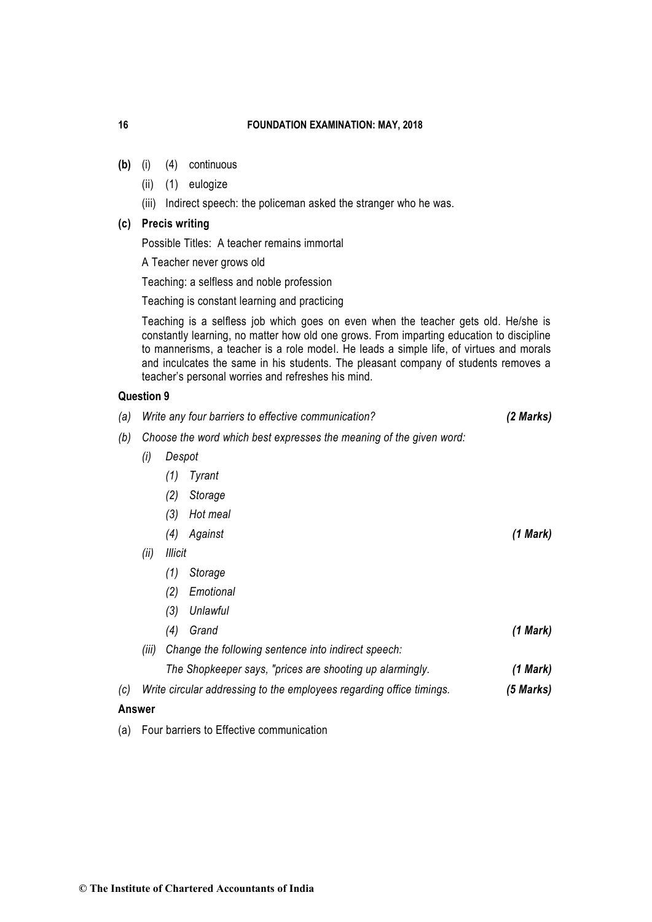- **(b)** (i) (4) continuous
	- (ii) (1) eulogize
	- (iii) Indirect speech: the policeman asked the stranger who he was.

# **(c) Precis writing**

Possible Titles: A teacher remains immortal

A Teacher never grows old

Teaching: a selfless and noble profession

Teaching is constant learning and practicing

Teaching is a selfless job which goes on even when the teacher gets old. He/she is constantly learning, no matter how old one grows. From imparting education to discipline to mannerisms, a teacher is a role model. He leads a simple life, of virtues and morals and inculcates the same in his students. The pleasant company of students removes a teacher's personal worries and refreshes his mind.

### **Question 9**

| (a) |                                                                     | Write any four barriers to effective communication?<br>(2 Marks)     |           |  |
|-----|---------------------------------------------------------------------|----------------------------------------------------------------------|-----------|--|
| (b) | Choose the word which best expresses the meaning of the given word: |                                                                      |           |  |
|     | (i)                                                                 |                                                                      |           |  |
|     |                                                                     | Tyrant<br>(1)                                                        |           |  |
|     |                                                                     | (2)<br>Storage                                                       |           |  |
|     |                                                                     | Hot meal<br>(3)                                                      |           |  |
|     |                                                                     | Against<br>(4)                                                       | (1 Mark)  |  |
|     | (ii)                                                                | <b>Illicit</b>                                                       |           |  |
|     |                                                                     | Storage<br>(1)                                                       |           |  |
|     |                                                                     | Emotional<br>(2)                                                     |           |  |
|     |                                                                     | (3)<br>Unlawful                                                      |           |  |
|     |                                                                     | Grand<br>(4)                                                         | (1 Mark)  |  |
|     | (iii)                                                               | Change the following sentence into indirect speech:                  |           |  |
|     |                                                                     | The Shopkeeper says, "prices are shooting up alarmingly.             | (1 Mark)  |  |
| (c) |                                                                     | Write circular addressing to the employees regarding office timings. | (5 Marks) |  |
|     | Answer                                                              |                                                                      |           |  |
|     |                                                                     |                                                                      |           |  |

(a) Four barriers to Effective communication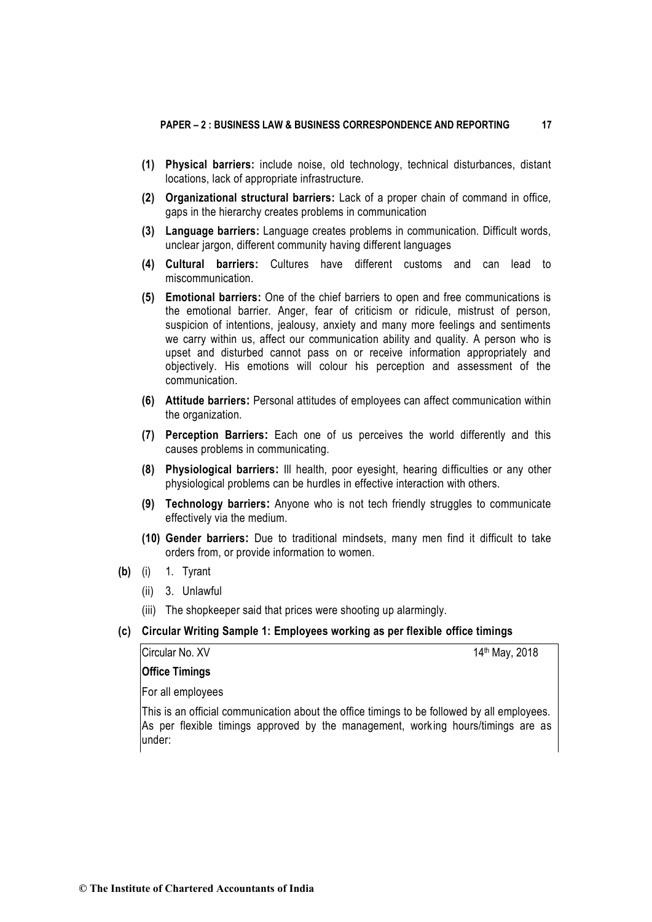- **(1) Physical barriers:** include noise, old technology, technical disturbances, distant locations, lack of appropriate infrastructure.
- **(2) Organizational structural barriers:** Lack of a proper chain of command in office, gaps in the hierarchy creates problems in communication
- **(3) Language barriers:** Language creates problems in communication. Difficult words, unclear jargon, different community having different languages
- **(4) Cultural barriers:** Cultures have different customs and can lead to miscommunication.
- **(5) Emotional barriers:** One of the chief barriers to open and free communications is the emotional barrier. Anger, fear of criticism or ridicule, mistrust of person, suspicion of intentions, jealousy, anxiety and many more feelings and sentiments we carry within us, affect our communication ability and quality. A person who is upset and disturbed cannot pass on or receive information appropriately and objectively. His emotions will colour his perception and assessment of the communication.
- **(6) Attitude barriers:** Personal attitudes of employees can affect communication within the organization.
- **(7) Perception Barriers:** Each one of us perceives the world differently and this causes problems in communicating.
- **(8) Physiological barriers:** Ill health, poor eyesight, hearing difficulties or any other physiological problems can be hurdles in effective interaction with others.
- **(9) Technology barriers:** Anyone who is not tech friendly struggles to communicate effectively via the medium.
- **(10) Gender barriers:** Due to traditional mindsets, many men find it difficult to take orders from, or provide information to women.
- **(b)** (i) 1. Tyrant
	- (ii) 3. Unlawful
	- (iii) The shopkeeper said that prices were shooting up alarmingly.
- **(c) Circular Writing Sample 1: Employees working as per flexible office timings**

Circular No. XV 14th May, 2018

**Office Timings**

For all employees

This is an official communication about the office timings to be followed by all employees. As per flexible timings approved by the management, working hours/timings are as under: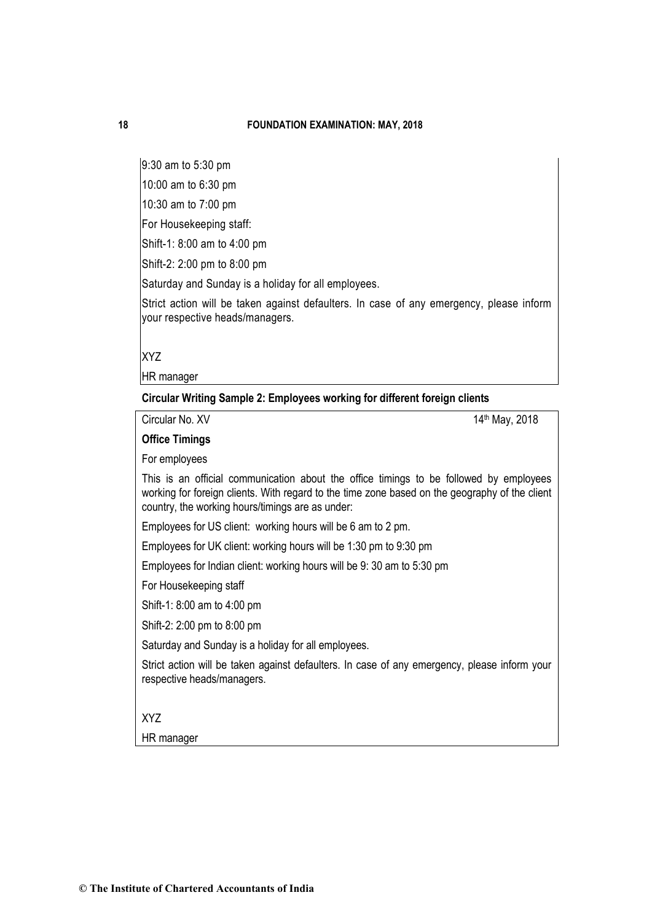9:30 am to 5:30 pm

10:00 am to 6:30 pm

10:30 am to 7:00 pm

For Housekeeping staff:

Shift-1: 8:00 am to 4:00 pm

Shift-2: 2:00 pm to 8:00 pm

Saturday and Sunday is a holiday for all employees.

Strict action will be taken against defaulters. In case of any emergency, please inform your respective heads/managers.

XYZ

HR manager

**Circular Writing Sample 2: Employees working for different foreign clients**

Circular No. XV 14<sup>th</sup> May, 2018

**Office Timings**

For employees

This is an official communication about the office timings to be followed by employees working for foreign clients. With regard to the time zone based on the geography of the client country, the working hours/timings are as under:

Employees for US client: working hours will be 6 am to 2 pm.

Employees for UK client: working hours will be 1:30 pm to 9:30 pm

Employees for Indian client: working hours will be 9: 30 am to 5:30 pm

For Housekeeping staff

Shift-1: 8:00 am to 4:00 pm

Shift-2: 2:00 pm to 8:00 pm

Saturday and Sunday is a holiday for all employees.

Strict action will be taken against defaulters. In case of any emergency, please inform your respective heads/managers.

XYZ

HR manager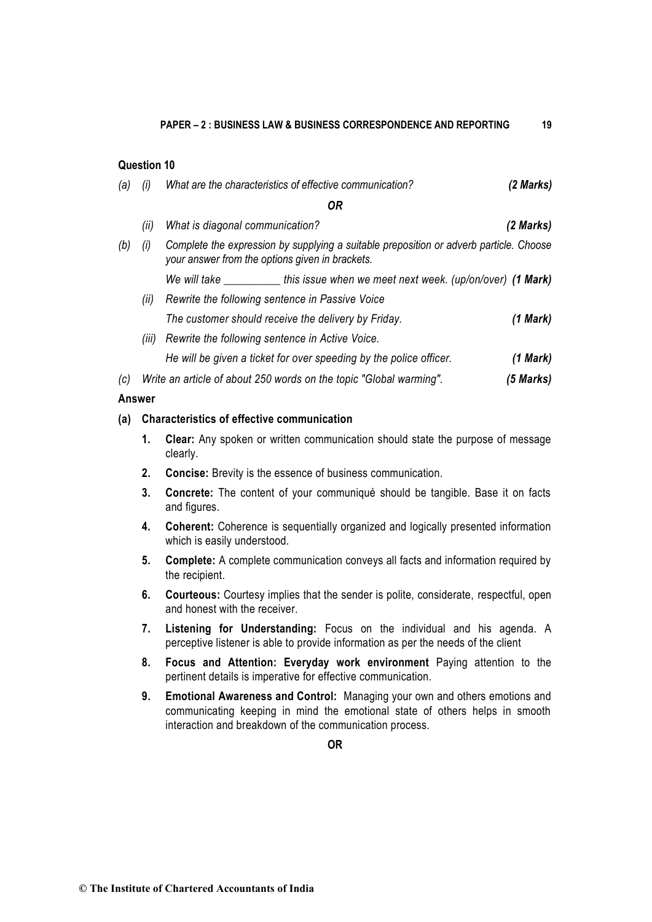# **Question 10**

| (a)    | (i)   | What are the characteristics of effective communication?                                                                                  | (2 Marks) |
|--------|-------|-------------------------------------------------------------------------------------------------------------------------------------------|-----------|
|        |       | 0R                                                                                                                                        |           |
|        | (ii)  | What is diagonal communication?                                                                                                           | (2 Marks) |
| (b)    | (i)   | Complete the expression by supplying a suitable preposition or adverb particle. Choose<br>your answer from the options given in brackets. |           |
|        |       | We will take ___________this issue when we meet next week. (up/on/over) (1 Mark)                                                          |           |
|        | (ii)  | Rewrite the following sentence in Passive Voice                                                                                           |           |
|        |       | The customer should receive the delivery by Friday.                                                                                       | (1 Mark)  |
|        | (III) | Rewrite the following sentence in Active Voice.                                                                                           |           |
|        |       | He will be given a ticket for over speeding by the police officer.                                                                        | (1 Mark)  |
| (c)    |       | Write an article of about 250 words on the topic "Global warming".                                                                        | (5 Marks) |
| Answer |       |                                                                                                                                           |           |

### **(a) Characteristics of effective communication**

- **1. Clear:** Any spoken or written communication should state the purpose of message clearly.
- **2. Concise:** Brevity is the essence of business communication.
- **3. Concrete:** The content of your communiqué should be tangible. Base it on facts and figures.
- **4. Coherent:** Coherence is sequentially organized and logically presented information which is easily understood.
- **5. Complete:** A complete communication conveys all facts and information required by the recipient.
- **6. Courteous:** Courtesy implies that the sender is polite, considerate, respectful, open and honest with the receiver.
- **7. Listening for Understanding:** Focus on the individual and his agenda. A perceptive listener is able to provide information as per the needs of the client
- **8. Focus and Attention: Everyday work environment** Paying attention to the pertinent details is imperative for effective communication.
- **9. Emotional Awareness and Control:** Managing your own and others emotions and communicating keeping in mind the emotional state of others helps in smooth interaction and breakdown of the communication process.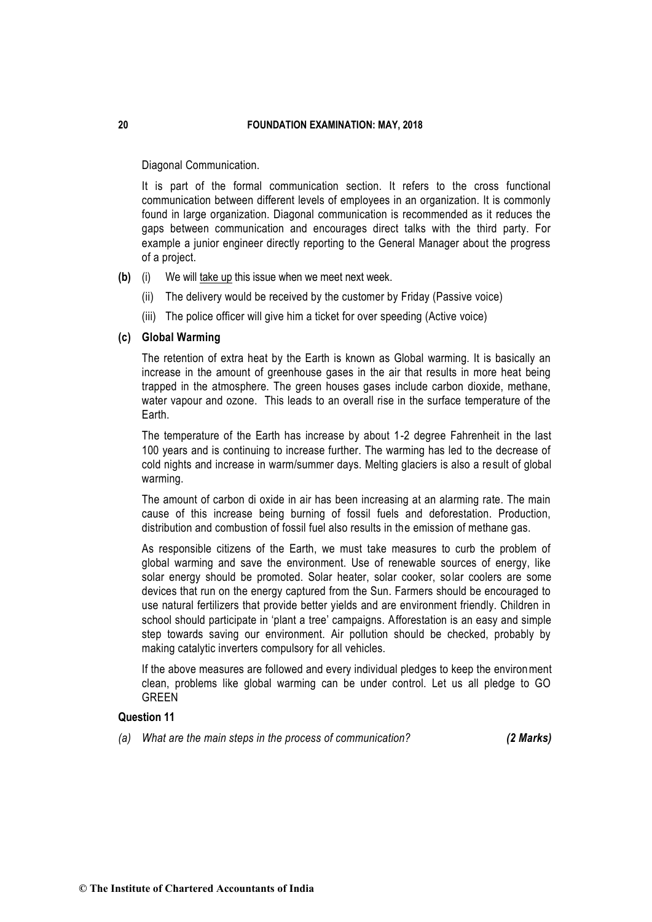Diagonal Communication.

It is part of the formal communication section. It refers to the cross functional communication between different levels of employees in an organization. It is commonly found in large organization. Diagonal communication is recommended as it reduces the gaps between communication and encourages direct talks with the third party. For example a junior engineer directly reporting to the General Manager about the progress of a project.

**(b)** (i) We will take up this issue when we meet next week.

- (ii) The delivery would be received by the customer by Friday (Passive voice)
- (iii) The police officer will give him a ticket for over speeding (Active voice)

# **(c) Global Warming**

The retention of extra heat by the Earth is known as Global warming. It is basically an increase in the amount of greenhouse gases in the air that results in more heat being trapped in the atmosphere. The green houses gases include carbon dioxide, methane, water vapour and ozone. This leads to an overall rise in the surface temperature of the Earth.

The temperature of the Earth has increase by about 1-2 degree Fahrenheit in the last 100 years and is continuing to increase further. The warming has led to the decrease of cold nights and increase in warm/summer days. Melting glaciers is also a result of global warming.

The amount of carbon di oxide in air has been increasing at an alarming rate. The main cause of this increase being burning of fossil fuels and deforestation. Production, distribution and combustion of fossil fuel also results in the emission of methane gas.

As responsible citizens of the Earth, we must take measures to curb the problem of global warming and save the environment. Use of renewable sources of energy, like solar energy should be promoted. Solar heater, solar cooker, solar coolers are some devices that run on the energy captured from the Sun. Farmers should be encouraged to use natural fertilizers that provide better yields and are environment friendly. Children in school should participate in 'plant a tree' campaigns. Afforestation is an easy and simple step towards saving our environment. Air pollution should be checked, probably by making catalytic inverters compulsory for all vehicles.

If the above measures are followed and every individual pledges to keep the environment clean, problems like global warming can be under control. Let us all pledge to GO GREEN

### **Question 11**

*(a) What are the main steps in the process of communication? (2 Marks)*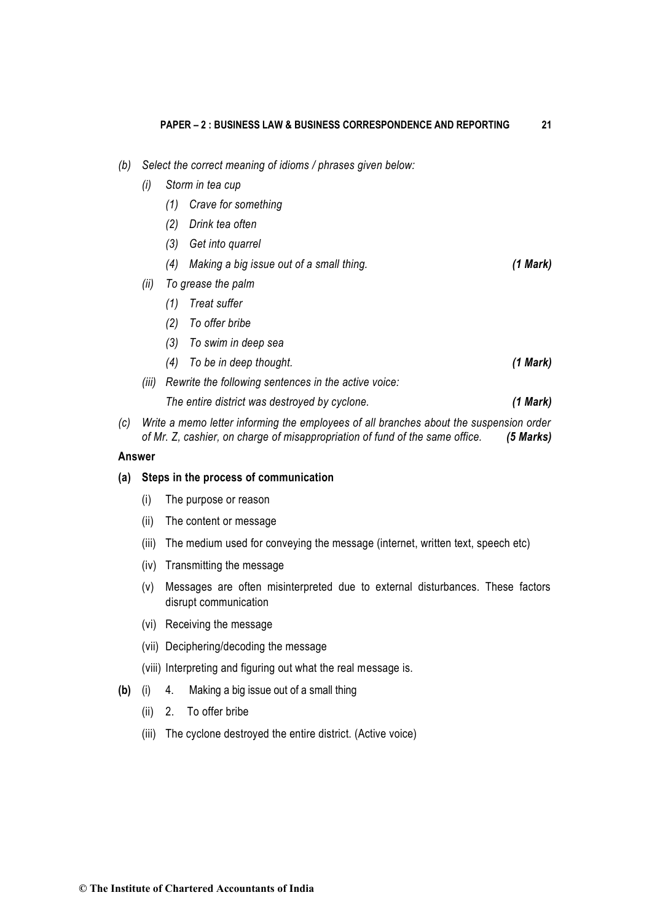- *(b) Select the correct meaning of idioms / phrases given below:* 
	- *(i) Storm in tea cup* 
		- *(1) Crave for something*
		- *(2) Drink tea often*
		- *(3) Get into quarrel*
		- *(4) Making a big issue out of a small thing. (1 Mark)*
	- *(ii) To grease the palm* 
		- *(1) Treat suffer*
		- *(2) To offer bribe*
		- *(3) To swim in deep sea*
		- *(4) To be in deep thought. (1 Mark)*
	- *(iii) Rewrite the following sentences in the active voice:*

*The entire district was destroyed by cyclone. (1 Mark)*

*(c) Write a memo letter informing the employees of all branches about the suspension order of Mr. Z, cashier, on charge of misappropriation of fund of the same office. (5 Marks)*

#### **Answer**

### **(a) Steps in the process of communication**

- (i) The purpose or reason
- (ii) The content or message
- (iii) The medium used for conveying the message (internet, written text, speech etc)
- (iv) Transmitting the message
- (v) Messages are often misinterpreted due to external disturbances. These factors disrupt communication
- (vi) Receiving the message
- (vii) Deciphering/decoding the message
- (viii) Interpreting and figuring out what the real message is.
- **(b)** (i) 4. Making a big issue out of a small thing
	- (ii) 2. To offer bribe
	- (iii) The cyclone destroyed the entire district. (Active voice)